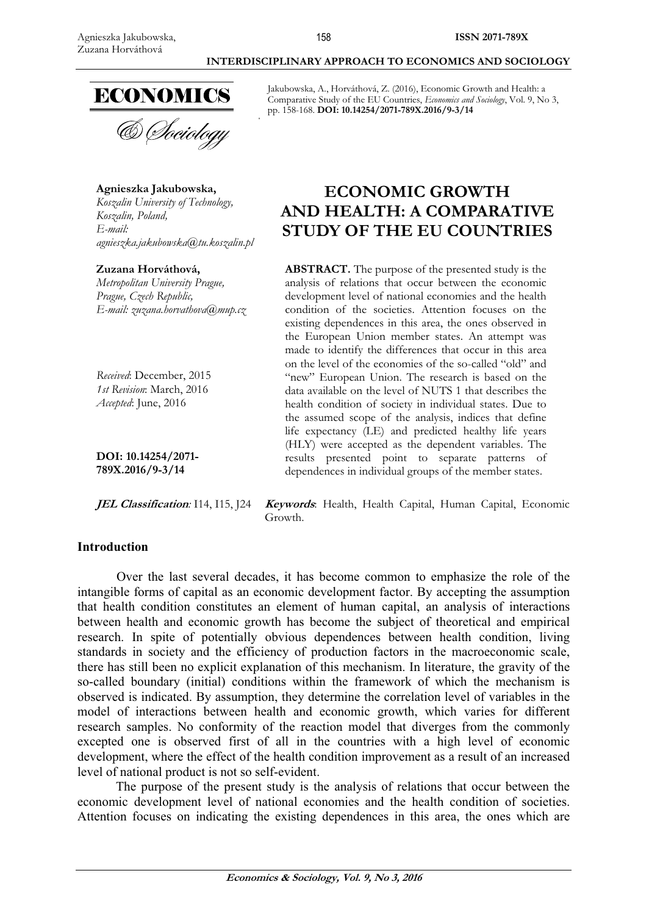

**Agnieszka Jakubowska,**  *Koszalin University of Technology, Koszalin, Poland, E-mail: agnieszka.jakubowska@tu.koszalin.pl* 

### **Zuzana Horváthová,**

*Metropolitan University Prague, Prague, Czech Republic, E-mail: zuzana.horvathova@mup.cz* 

*Received*: December, 2015 *1st Revision*: March, 2016 *Accepted*: June, 2016

**DOI: 10.14254/2071- 789X.2016/9-3/14**

#### **Introduction**

# Jakubowska, A., Horváthová, Z. (2016), Economic Growth and Health: a

 **INTERDISCIPLINARY APPROACH TO ECONOMICS AND SOCIOLOGY** 

Comparative Study of the EU Countries, *Economics and Sociology*, Vol. 9, No 3, pp. 158-168. **DOI: 10.14254/2071-789X.2016/9-3/14** 

# **ECONOMIC GROWTH AND HEALTH: A COMPARATIVE STUDY OF THE EU COUNTRIES**

**ABSTRACT.** The purpose of the presented study is the analysis of relations that occur between the economic development level of national economies and the health condition of the societies. Attention focuses on the existing dependences in this area, the ones observed in the European Union member states. An attempt was made to identify the differences that occur in this area on the level of the economies of the so-called "old" and "new" European Union. The research is based on the data available on the level of NUTS 1 that describes the health condition of society in individual states. Due to the assumed scope of the analysis, indices that define life expectancy (LE) and predicted healthy life years (HLY) were accepted as the dependent variables. The results presented point to separate patterns of dependences in individual groups of the member states.

**JEL Classification***:* I14, I15, J24 **Keywords**: Health, Health Capital, Human Capital, Economic Growth.

Over the last several decades, it has become common to emphasize the role of the intangible forms of capital as an economic development factor. By accepting the assumption that health condition constitutes an element of human capital, an analysis of interactions between health and economic growth has become the subject of theoretical and empirical research. In spite of potentially obvious dependences between health condition, living standards in society and the efficiency of production factors in the macroeconomic scale, there has still been no explicit explanation of this mechanism. In literature, the gravity of the so-called boundary (initial) conditions within the framework of which the mechanism is observed is indicated. By assumption, they determine the correlation level of variables in the model of interactions between health and economic growth, which varies for different research samples. No conformity of the reaction model that diverges from the commonly excepted one is observed first of all in the countries with a high level of economic development, where the effect of the health condition improvement as a result of an increased level of national product is not so self-evident.

The purpose of the present study is the analysis of relations that occur between the economic development level of national economies and the health condition of societies. Attention focuses on indicating the existing dependences in this area, the ones which are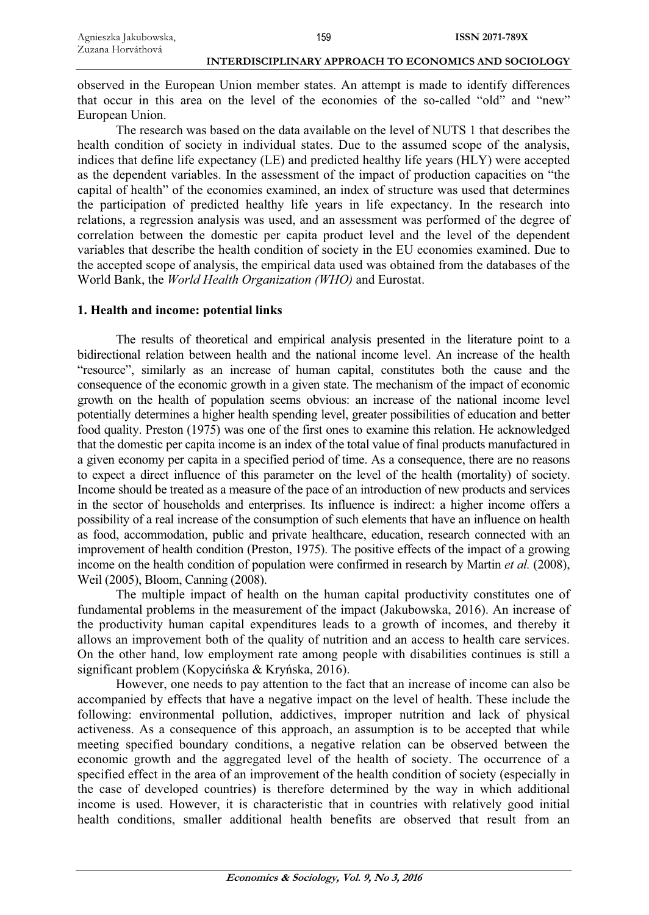observed in the European Union member states. An attempt is made to identify differences that occur in this area on the level of the economies of the so-called "old" and "new" European Union.

The research was based on the data available on the level of NUTS 1 that describes the health condition of society in individual states. Due to the assumed scope of the analysis, indices that define life expectancy (LE) and predicted healthy life years (HLY) were accepted as the dependent variables. In the assessment of the impact of production capacities on "the capital of health" of the economies examined, an index of structure was used that determines the participation of predicted healthy life years in life expectancy. In the research into relations, a regression analysis was used, and an assessment was performed of the degree of correlation between the domestic per capita product level and the level of the dependent variables that describe the health condition of society in the EU economies examined. Due to the accepted scope of analysis, the empirical data used was obtained from the databases of the World Bank, the *World Health Organization (WHO)* and Eurostat.

# **1. Health and income: potential links**

The results of theoretical and empirical analysis presented in the literature point to a bidirectional relation between health and the national income level. An increase of the health "resource", similarly as an increase of human capital, constitutes both the cause and the consequence of the economic growth in a given state. The mechanism of the impact of economic growth on the health of population seems obvious: an increase of the national income level potentially determines a higher health spending level, greater possibilities of education and better food quality. Preston (1975) was one of the first ones to examine this relation. He acknowledged that the domestic per capita income is an index of the total value of final products manufactured in a given economy per capita in a specified period of time. As a consequence, there are no reasons to expect a direct influence of this parameter on the level of the health (mortality) of society. Income should be treated as a measure of the pace of an introduction of new products and services in the sector of households and enterprises. Its influence is indirect: a higher income offers a possibility of a real increase of the consumption of such elements that have an influence on health as food, accommodation, public and private healthcare, education, research connected with an improvement of health condition (Preston, 1975). The positive effects of the impact of a growing income on the health condition of population were confirmed in research by Martin *et al.* (2008), Weil (2005), Bloom, Canning (2008).

The multiple impact of health on the human capital productivity constitutes one of fundamental problems in the measurement of the impact (Jakubowska, 2016). An increase of the productivity human capital expenditures leads to a growth of incomes, and thereby it allows an improvement both of the quality of nutrition and an access to health care services. On the other hand, low employment rate among people with disabilities continues is still a significant problem (Kopycińska  $&$  Kryńska, 2016).

However, one needs to pay attention to the fact that an increase of income can also be accompanied by effects that have a negative impact on the level of health. These include the following: environmental pollution, addictives, improper nutrition and lack of physical activeness. As a consequence of this approach, an assumption is to be accepted that while meeting specified boundary conditions, a negative relation can be observed between the economic growth and the aggregated level of the health of society. The occurrence of a specified effect in the area of an improvement of the health condition of society (especially in the case of developed countries) is therefore determined by the way in which additional income is used. However, it is characteristic that in countries with relatively good initial health conditions, smaller additional health benefits are observed that result from an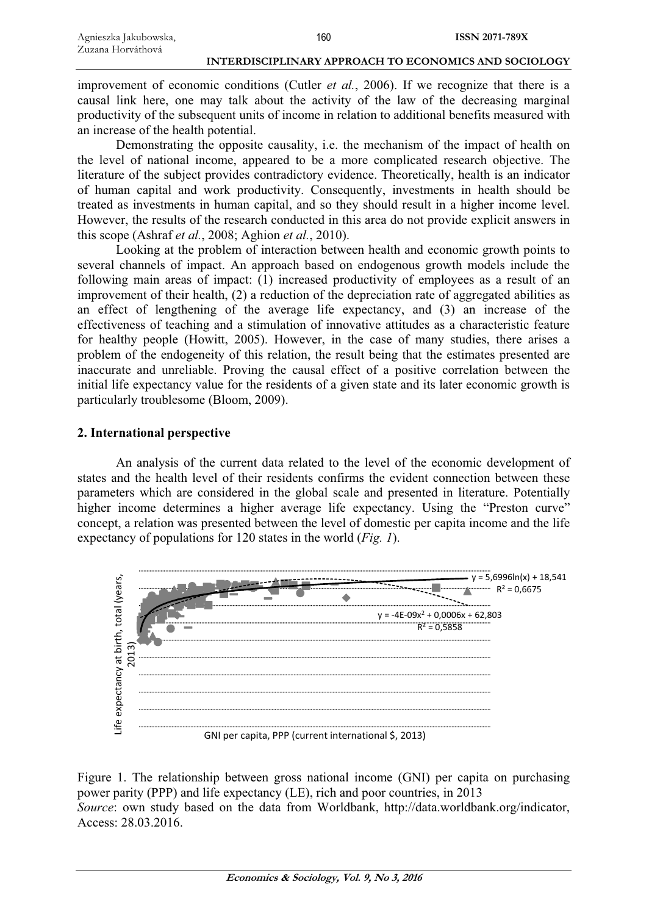improvement of economic conditions (Cutler *et al.*, 2006). If we recognize that there is a causal link here, one may talk about the activity of the law of the decreasing marginal productivity of the subsequent units of income in relation to additional benefits measured with an increase of the health potential.

Demonstrating the opposite causality, i.e. the mechanism of the impact of health on the level of national income, appeared to be a more complicated research objective. The literature of the subject provides contradictory evidence. Theoretically, health is an indicator of human capital and work productivity. Consequently, investments in health should be treated as investments in human capital, and so they should result in a higher income level. However, the results of the research conducted in this area do not provide explicit answers in this scope (Ashraf *et al.*, 2008; Aghion *et al.*, 2010).

Looking at the problem of interaction between health and economic growth points to several channels of impact. An approach based on endogenous growth models include the following main areas of impact:  $(1)$  increased productivity of employees as a result of an improvement of their health, (2) a reduction of the depreciation rate of aggregated abilities as an effect of lengthening of the average life expectancy, and (3) an increase of the effectiveness of teaching and a stimulation of innovative attitudes as a characteristic feature for healthy people (Howitt, 2005). However, in the case of many studies, there arises a problem of the endogeneity of this relation, the result being that the estimates presented are inaccurate and unreliable. Proving the causal effect of a positive correlation between the initial life expectancy value for the residents of a given state and its later economic growth is particularly troublesome (Bloom, 2009).

# **2. International perspective**

An analysis of the current data related to the level of the economic development of states and the health level of their residents confirms the evident connection between these parameters which are considered in the global scale and presented in literature. Potentially higher income determines a higher average life expectancy. Using the "Preston curve" concept, a relation was presented between the level of domestic per capita income and the life expectancy of populations for 120 states in the world (*Fig. 1*).



Figure 1. The relationship between gross national income (GNI) per capita on purchasing power parity (PPP) and life expectancy (LE), rich and poor countries, in 2013 *Source*: own study based on the data from Worldbank, http://data.worldbank.org/indicator, Access: 28.03.2016.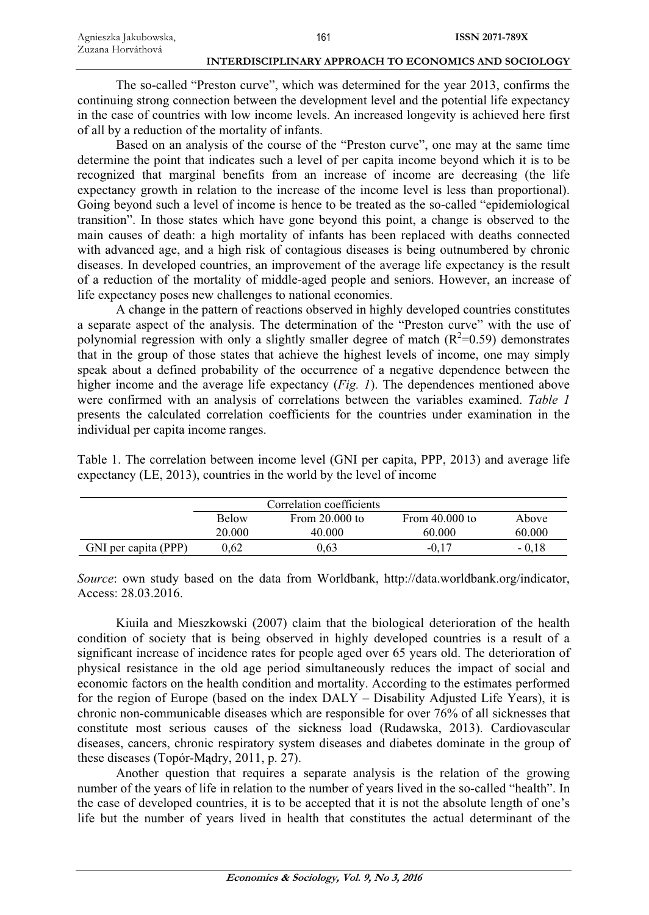The so-called "Preston curve", which was determined for the year 2013, confirms the continuing strong connection between the development level and the potential life expectancy in the case of countries with low income levels. An increased longevity is achieved here first of all by a reduction of the mortality of infants.

Based on an analysis of the course of the "Preston curve", one may at the same time determine the point that indicates such a level of per capita income beyond which it is to be recognized that marginal benefits from an increase of income are decreasing (the life expectancy growth in relation to the increase of the income level is less than proportional). Going beyond such a level of income is hence to be treated as the so-called "epidemiological transition". In those states which have gone beyond this point, a change is observed to the main causes of death: a high mortality of infants has been replaced with deaths connected with advanced age, and a high risk of contagious diseases is being outnumbered by chronic diseases. In developed countries, an improvement of the average life expectancy is the result of a reduction of the mortality of middle-aged people and seniors. However, an increase of life expectancy poses new challenges to national economies.

A change in the pattern of reactions observed in highly developed countries constitutes a separate aspect of the analysis. The determination of the "Preston curve" with the use of polynomial regression with only a slightly smaller degree of match  $(R^2=0.59)$  demonstrates that in the group of those states that achieve the highest levels of income, one may simply speak about a defined probability of the occurrence of a negative dependence between the higher income and the average life expectancy (*Fig. 1*). The dependences mentioned above were confirmed with an analysis of correlations between the variables examined. *Table 1* presents the calculated correlation coefficients for the countries under examination in the individual per capita income ranges.

Table 1. The correlation between income level (GNI per capita, PPP, 2013) and average life expectancy (LE, 2013), countries in the world by the level of income

|                      | Correlation coefficients |                  |                  |         |
|----------------------|--------------------------|------------------|------------------|---------|
|                      | <b>Below</b>             | From $20.000$ to | From $40.000$ to | Above   |
|                      | 20.000                   | 40.000           | 60.000           | 60.000  |
| GNI per capita (PPP) | 0.62                     | 0.63             | $-0.17$          | $-0.18$ |

*Source*: own study based on the data from Worldbank, http://data.worldbank.org/indicator, Access: 28.03.2016.

Kiuila and Mieszkowski (2007) claim that the biological deterioration of the health condition of society that is being observed in highly developed countries is a result of a significant increase of incidence rates for people aged over 65 years old. The deterioration of physical resistance in the old age period simultaneously reduces the impact of social and economic factors on the health condition and mortality. According to the estimates performed for the region of Europe (based on the index  $DALY - Disability$  Adjusted Life Years), it is chronic non-communicable diseases which are responsible for over 76% of all sicknesses that constitute most serious causes of the sickness load (Rudawska, 2013). Cardiovascular diseases, cancers, chronic respiratory system diseases and diabetes dominate in the group of these diseases (Topór-Mądry, 2011, p. 27).

Another question that requires a separate analysis is the relation of the growing number of the years of life in relation to the number of years lived in the so-called "health". In the case of developed countries, it is to be accepted that it is not the absolute length of one's life but the number of years lived in health that constitutes the actual determinant of the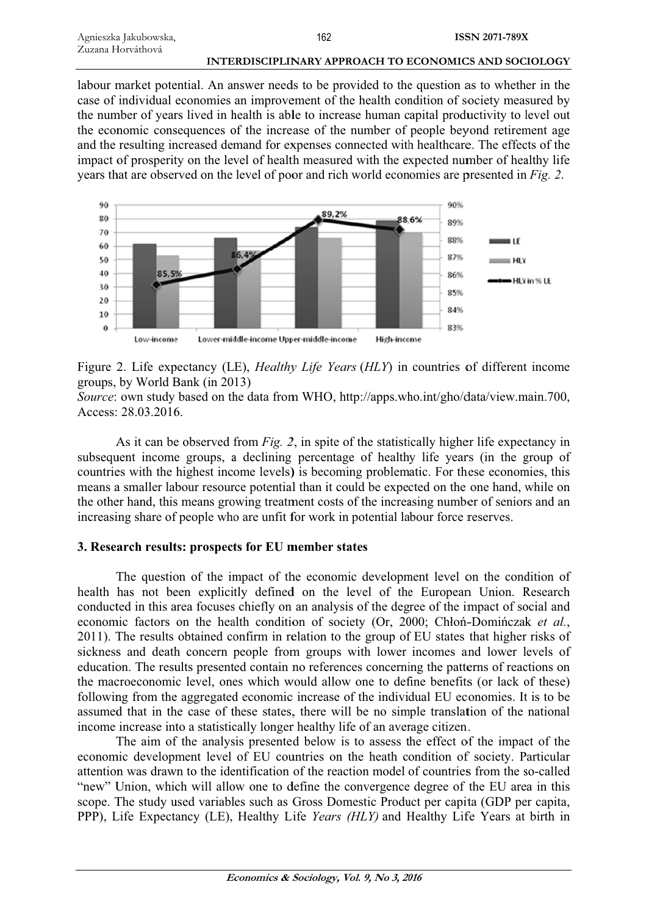labour market potential. An answer needs to be provided to the question as to whether in the case of individual economies an improvement of the health condition of society measured by the number of years lived in health is able to increase human capital productivity to level out the economic consequences of the increase of the number of people beyond retirement age and the resulting increased demand for expenses connected with healthcare. The effects of the impact of prosperity on the level of health measured with the expected number of healthy life years that are observed on the level of poor and rich world economies are presented in *Fig. 2*.



Figure 2. Life expectancy (LE), *Healthy Life Years* (*HLY*) in countries of different income groups, by World B Bank (in 20 13)

Source: own study based on the data from WHO, http://apps.who.int/gho/data/view.main.700, Access: 28.03.2016 6.

As it can be observed from  $Fig. 2$ , in spite of the statistically higher life expectancy in subsequent income groups, a declining percentage of healthy life years (in the group of countries with the highest income levels) is becoming problematic. For these economies, this means a smaller labour resource potential than it could be expected on the one hand, while on the other hand, this means growing treatment costs of the increasing number of seniors and an increasing share of people who are unfit for work in potential labour force reserves.

# **3. Research results: prospects for EU member states**

The question of the impact of the economic development level on the condition of health has not been explicitly defined on the level of the European Union. Research conducted in this area focuses chiefly on an analysis of the degree of the impact of social and economic factors on the health condition of society (Or, 2000; Chłoń-Domińczak et al., 2011). The results obtained confirm in relation to the group of EU states that higher risks of sickness and death concern people from groups with lower incomes and lower levels of education. The results presented contain no references concerning the patterns of reactions on the macroeconomic level, ones which would allow one to define benefits (or lack of these) following from the aggregated economic increase of the individual EU economies. It is to be assumed that in the case of these states, there will be no simple translation of the national income increase into a statistically longer healthy life of an average citizen.

The aim of the analysis presented below is to assess the effect of the impact of the economic development level of EU countries on the heath condition of society. Particular attention was drawn to the identification of the reaction model of countries from the so-called "new" Union, which will allow one to define the convergence degree of the EU area in this scope. The study used variables such as Gross Domestic Product per capita (GDP per capita, PPP), Life Expectancy (LE), Healthy Life *Years (HLY)* and Healthy Life Years at birth in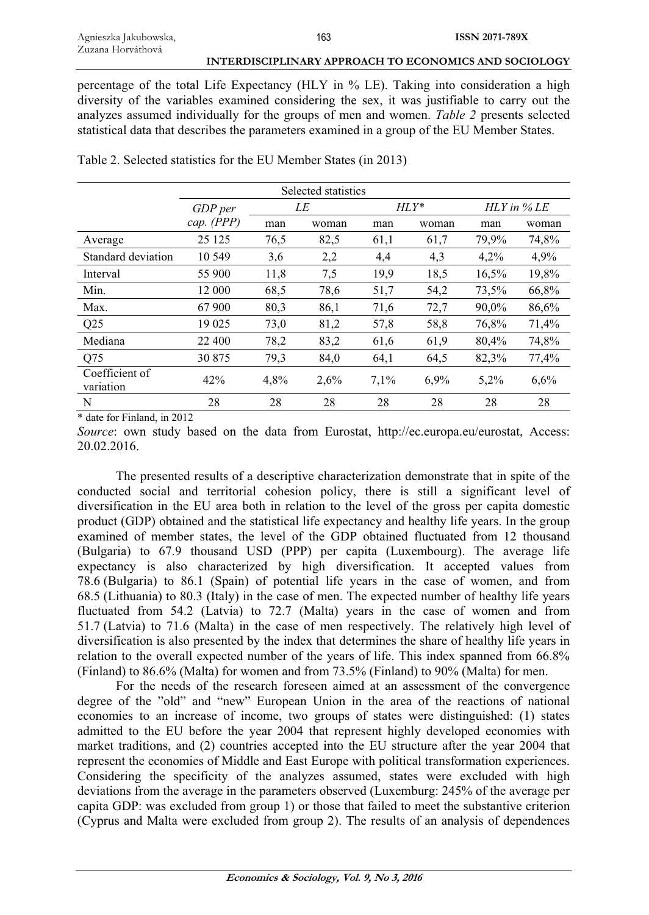percentage of the total Life Expectancy (HLY in % LE). Taking into consideration a high diversity of the variables examined considering the sex, it was justifiable to carry out the analyzes assumed individually for the groups of men and women. *Table 2* presents selected statistical data that describes the parameters examined in a group of the EU Member States.

|                             | Selected statistics   |      |       |         |         |                |       |
|-----------------------------|-----------------------|------|-------|---------|---------|----------------|-------|
|                             | GDP per<br>cap. (PPP) | LE   |       | $HLY^*$ |         | $HLY$ in $%LE$ |       |
|                             |                       | man  | woman | man     | woman   | man            | woman |
| Average                     | 25 1 25               | 76,5 | 82,5  | 61,1    | 61,7    | 79,9%          | 74,8% |
| Standard deviation          | 10 549                | 3,6  | 2,2   | 4,4     | 4,3     | 4,2%           | 4,9%  |
| Interval                    | 55 900                | 11,8 | 7,5   | 19,9    | 18.5    | 16,5%          | 19,8% |
| Min.                        | 12 000                | 68.5 | 78,6  | 51,7    | 54,2    | 73,5%          | 66,8% |
| Max.                        | 67 900                | 80,3 | 86,1  | 71,6    | 72,7    | $90.0\%$       | 86,6% |
| Q <sub>25</sub>             | 19 025                | 73,0 | 81,2  | 57,8    | 58,8    | 76,8%          | 71,4% |
| Mediana                     | 22 400                | 78,2 | 83,2  | 61,6    | 61,9    | 80,4%          | 74,8% |
| Q <sub>75</sub>             | 30 875                | 79.3 | 84,0  | 64,1    | 64,5    | 82,3%          | 77,4% |
| Coefficient of<br>variation | 42%                   | 4,8% | 2,6%  | $7.1\%$ | $6.9\%$ | 5,2%           | 6,6%  |
| N<br>.<br>$\cdots$          | 28                    | 28   | 28    | 28      | 28      | 28             | 28    |

Table 2. Selected statistics for the EU Member States (in 2013)

\* date for Finland, in 2012

*Source*: own study based on the data from Eurostat, http://ec.europa.eu/eurostat, Access: 20.02.2016.

The presented results of a descriptive characterization demonstrate that in spite of the conducted social and territorial cohesion policy, there is still a significant level of diversification in the EU area both in relation to the level of the gross per capita domestic product (GDP) obtained and the statistical life expectancy and healthy life years. In the group examined of member states, the level of the GDP obtained fluctuated from 12 thousand (Bulgaria) to 67.9 thousand USD (PPP) per capita (Luxembourg). The average life expectancy is also characterized by high diversification. It accepted values from 78.6 (Bulgaria) to 86.1 (Spain) of potential life years in the case of women, and from 68.5 (Lithuania) to 80.3 (Italy) in the case of men. The expected number of healthy life years fluctuated from 54.2 (Latvia) to 72.7 (Malta) years in the case of women and from 51.7 (Latvia) to 71.6 (Malta) in the case of men respectively. The relatively high level of diversification is also presented by the index that determines the share of healthy life years in relation to the overall expected number of the years of life. This index spanned from 66.8% (Finland) to 86.6% (Malta) for women and from 73.5% (Finland) to 90% (Malta) for men.

For the needs of the research foreseen aimed at an assessment of the convergence degree of the "old" and "new" European Union in the area of the reactions of national economies to an increase of income, two groups of states were distinguished: (1) states admitted to the EU before the year 2004 that represent highly developed economies with market traditions, and (2) countries accepted into the EU structure after the year 2004 that represent the economies of Middle and East Europe with political transformation experiences. Considering the specificity of the analyzes assumed, states were excluded with high deviations from the average in the parameters observed (Luxemburg: 245% of the average per capita GDP: was excluded from group 1) or those that failed to meet the substantive criterion (Cyprus and Malta were excluded from group 2). The results of an analysis of dependences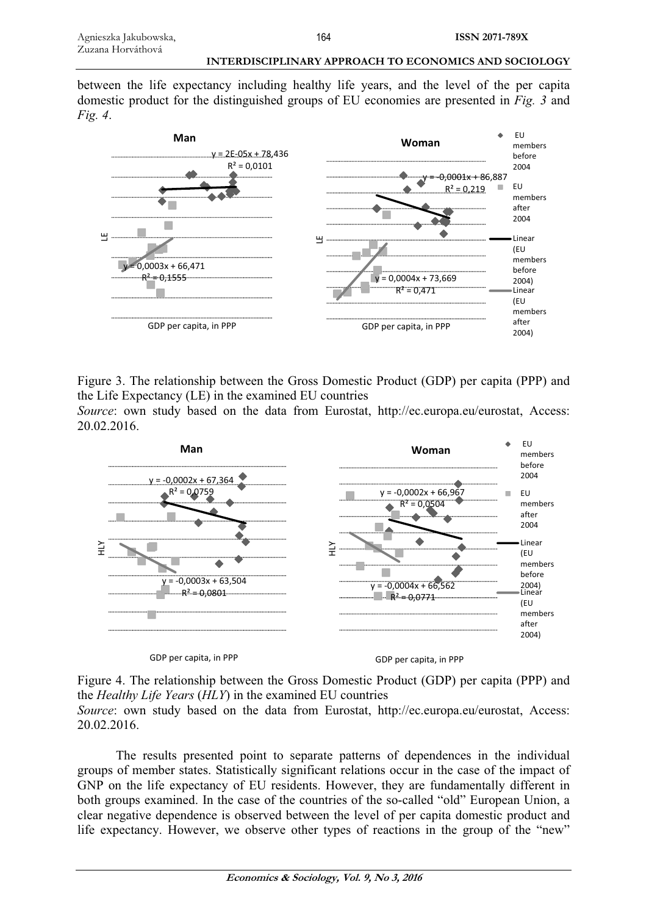between the life expectancy including healthy life years, and the level of the per capita domestic product for the distinguished groups of EU economies are presented in *Fig. 3* and *Fig. 4*.



Figure 3. The relationship between the Gross Domestic Product (GDP) per capita (PPP) and the Life Expectancy (LE) in the examined EU countries *Source*: own study based on the data from Eurostat, http://ec.europa.eu/eurostat, Access: 20.02.2016.



GDP per capita, in PPP

GDP per capita, in PPP

Figure 4. The relationship between the Gross Domestic Product (GDP) per capita (PPP) and the *Healthy Life Years* (*HLY*) in the examined EU countries

*Source*: own study based on the data from Eurostat, http://ec.europa.eu/eurostat, Access: 20.02.2016.

The results presented point to separate patterns of dependences in the individual groups of member states. Statistically significant relations occur in the case of the impact of GNP on the life expectancy of EU residents. However, they are fundamentally different in both groups examined. In the case of the countries of the so-called "old" European Union, a clear negative dependence is observed between the level of per capita domestic product and life expectancy. However, we observe other types of reactions in the group of the "new"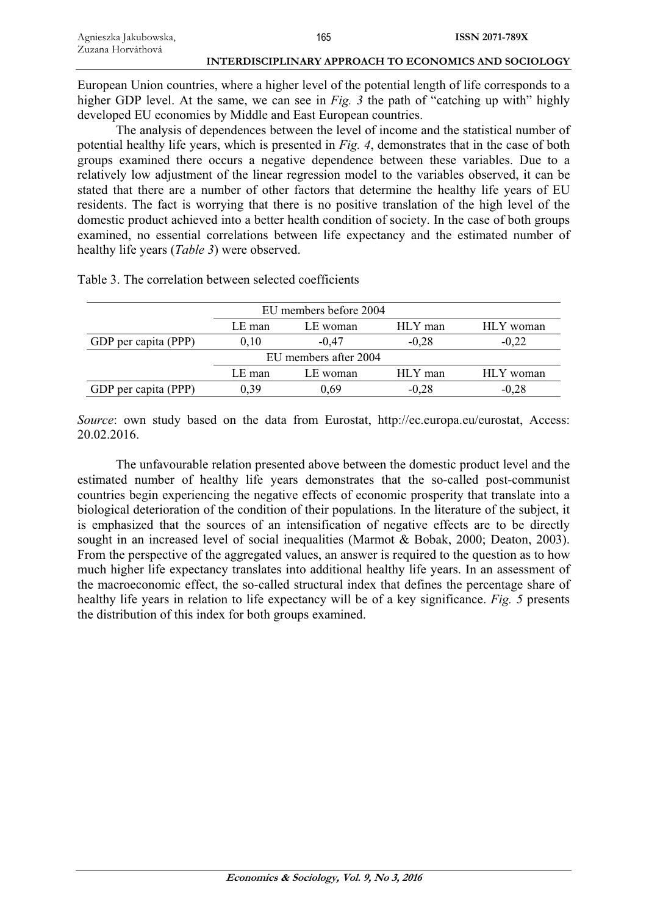| Agnieszka Jakubowska, | 165                                                   | <b>ISSN 2071-789X</b> |
|-----------------------|-------------------------------------------------------|-----------------------|
| Zuzana Horváthová     |                                                       |                       |
|                       | INTERDISCIPLINARY APPROACH TO ECONOMICS AND SOCIOLOGY |                       |

European Union countries, where a higher level of the potential length of life corresponds to a higher GDP level. At the same, we can see in *Fig. 3* the path of "catching up with" highly developed EU economies by Middle and East European countries.

The analysis of dependences between the level of income and the statistical number of potential healthy life years, which is presented in *Fig. 4*, demonstrates that in the case of both groups examined there occurs a negative dependence between these variables. Due to a relatively low adjustment of the linear regression model to the variables observed, it can be stated that there are a number of other factors that determine the healthy life years of EU residents. The fact is worrying that there is no positive translation of the high level of the domestic product achieved into a better health condition of society. In the case of both groups examined, no essential correlations between life expectancy and the estimated number of healthy life years (*Table 3*) were observed.

| EU members before 2004 |                                            |          |         |           |  |
|------------------------|--------------------------------------------|----------|---------|-----------|--|
|                        | HLY man<br>HLY woman<br>LE man<br>LE woman |          |         |           |  |
| GDP per capita (PPP)   | 0.10                                       | $-0.47$  | $-0.28$ | $-0.22$   |  |
| EU members after 2004  |                                            |          |         |           |  |
|                        | LE man                                     | LE woman | HLY man | HLY woman |  |
| GDP per capita (PPP)   | 0.39                                       | 0.69     | $-0.28$ | $-0.28$   |  |

Table 3. The correlation between selected coefficients

*Source*: own study based on the data from Eurostat, http://ec.europa.eu/eurostat, Access: 20.02.2016.

The unfavourable relation presented above between the domestic product level and the estimated number of healthy life years demonstrates that the so-called post-communist countries begin experiencing the negative effects of economic prosperity that translate into a biological deterioration of the condition of their populations. In the literature of the subject, it is emphasized that the sources of an intensification of negative effects are to be directly sought in an increased level of social inequalities (Marmot & Bobak, 2000; Deaton, 2003). From the perspective of the aggregated values, an answer is required to the question as to how much higher life expectancy translates into additional healthy life years. In an assessment of the macroeconomic effect, the so-called structural index that defines the percentage share of healthy life years in relation to life expectancy will be of a key significance. *Fig. 5* presents the distribution of this index for both groups examined.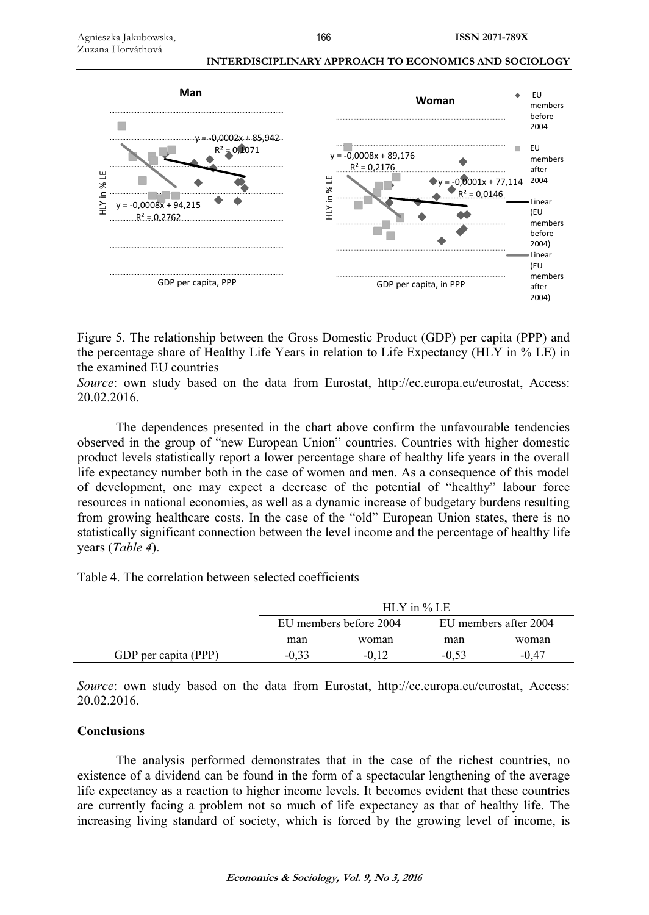

Figure 5. The relationship between the Gross Domestic Product (GDP) per capita (PPP) and the percentage share of Healthy Life Years in relation to Life Expectancy (HLY in % LE) in the examined EU countries

*Source*: own study based on the data from Eurostat, http://ec.europa.eu/eurostat, Access: 20.02.2016.

The dependences presented in the chart above confirm the unfavourable tendencies observed in the group of "new European Union" countries. Countries with higher domestic product levels statistically report a lower percentage share of healthy life years in the overall life expectancy number both in the case of women and men. As a consequence of this model of development, one may expect a decrease of the potential of "healthy" labour force resources in national economies, as well as a dynamic increase of budgetary burdens resulting from growing healthcare costs. In the case of the "old" European Union states, there is no statistically significant connection between the level income and the percentage of healthy life years (*Table 4*).

Table 4. The correlation between selected coefficients

|                      | $HLY$ in % LE          |       |                       |         |
|----------------------|------------------------|-------|-----------------------|---------|
|                      | EU members before 2004 |       | EU members after 2004 |         |
|                      | man                    | woman | man                   | woman   |
| GDP per capita (PPP) | -0.33                  |       | $-0.53$               | $-0.47$ |

*Source*: own study based on the data from Eurostat, http://ec.europa.eu/eurostat, Access: 20.02.2016.

# **Conclusions**

The analysis performed demonstrates that in the case of the richest countries, no existence of a dividend can be found in the form of a spectacular lengthening of the average life expectancy as a reaction to higher income levels. It becomes evident that these countries are currently facing a problem not so much of life expectancy as that of healthy life. The increasing living standard of society, which is forced by the growing level of income, is

166

 **INTERDISCIPLINARY APPROACH TO ECONOMICS AND SOCIOLOGY**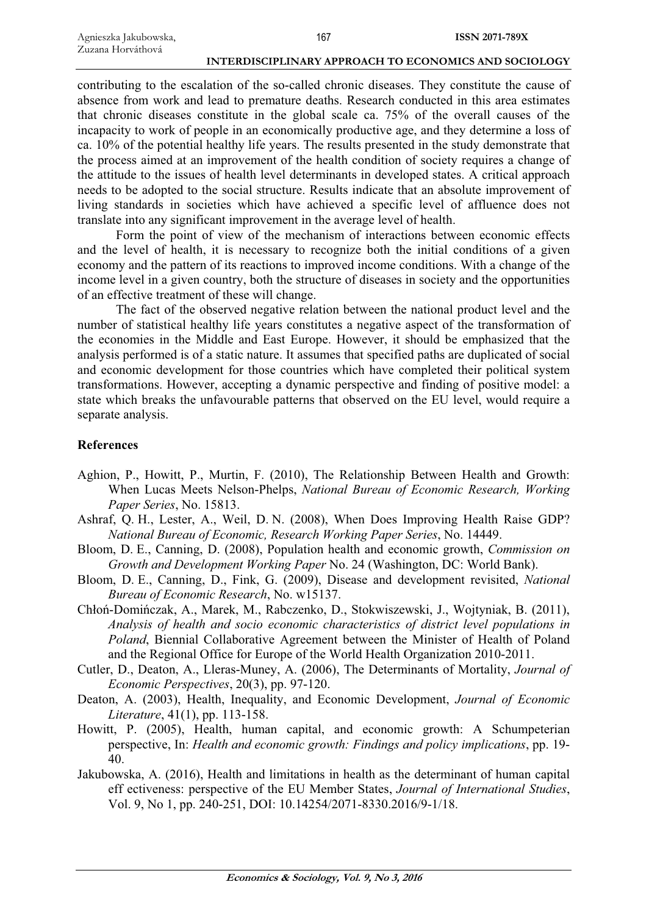contributing to the escalation of the so-called chronic diseases. They constitute the cause of absence from work and lead to premature deaths. Research conducted in this area estimates that chronic diseases constitute in the global scale ca. 75% of the overall causes of the incapacity to work of people in an economically productive age, and they determine a loss of ca. 10% of the potential healthy life years. The results presented in the study demonstrate that the process aimed at an improvement of the health condition of society requires a change of the attitude to the issues of health level determinants in developed states. A critical approach needs to be adopted to the social structure. Results indicate that an absolute improvement of living standards in societies which have achieved a specific level of affluence does not translate into any significant improvement in the average level of health.

Form the point of view of the mechanism of interactions between economic effects and the level of health, it is necessary to recognize both the initial conditions of a given economy and the pattern of its reactions to improved income conditions. With a change of the income level in a given country, both the structure of diseases in society and the opportunities of an effective treatment of these will change.

The fact of the observed negative relation between the national product level and the number of statistical healthy life years constitutes a negative aspect of the transformation of the economies in the Middle and East Europe. However, it should be emphasized that the analysis performed is of a static nature. It assumes that specified paths are duplicated of social and economic development for those countries which have completed their political system transformations. However, accepting a dynamic perspective and finding of positive model: a state which breaks the unfavourable patterns that observed on the EU level, would require a separate analysis.

# **References**

- Aghion, P., Howitt, P., Murtin, F. (2010), The Relationship Between Health and Growth: When Lucas Meets Nelson-Phelps, *National Bureau of Economic Research, Working Paper Series*, No. 15813.
- Ashraf, Q. H., Lester, A., Weil, D. N. (2008), When Does Improving Health Raise GDP? *National Bureau of Economic, Research Working Paper Series*, No. 14449.
- Bloom, D. E., Canning, D. (2008), Population health and economic growth, *Commission on Growth and Development Working Paper* No. 24 (Washington, DC: World Bank).
- Bloom, D. E., Canning, D., Fink, G. (2009), Disease and development revisited, *National Bureau of Economic Research*, No. w15137.
- Chłoń-Domińczak, A., Marek, M., Rabczenko, D., Stokwiszewski, J., Wojtyniak, B. (2011), *Analysis of health and socio economic characteristics of district level populations in Poland*, Biennial Collaborative Agreement between the Minister of Health of Poland and the Regional Office for Europe of the World Health Organization 2010-2011.
- Cutler, D., Deaton, A., Lleras-Muney, A. (2006), The Determinants of Mortality, *Journal of Economic Perspectives*, 20(3), pp. 97-120.
- Deaton, A. (2003), Health, Inequality, and Economic Development, *Journal of Economic Literature*, 41(1), pp. 113-158.
- Howitt, P. (2005), Health, human capital, and economic growth: A Schumpeterian perspective, In: *Health and economic growth: Findings and policy implications*, pp. 19- 40.
- Jakubowska, A. (2016), Health and limitations in health as the determinant of human capital eff ectiveness: perspective of the EU Member States, *Journal of International Studies*, Vol. 9, No 1, pp. 240-251, DOI: 10.14254/2071-8330.2016/9-1/18.